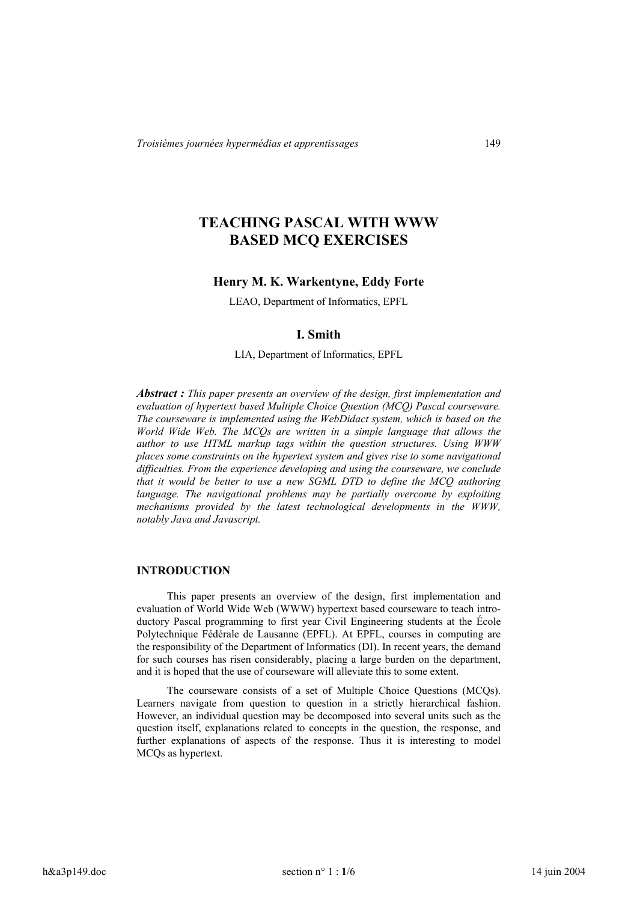# **TEACHING PASCAL WITH WWW BASED MCQ EXERCISES**

#### **Henry M. K. Warkentyne, Eddy Forte**

LEAO, Department of Informatics, EPFL

## **I. Smith**

LIA, Department of Informatics, EPFL

*Abstract : This paper presents an overview of the design, first implementation and evaluation of hypertext based Multiple Choice Question (MCQ) Pascal courseware. The courseware is implemented using the WebDidact system, which is based on the World Wide Web. The MCQs are written in a simple language that allows the author to use HTML markup tags within the question structures. Using WWW places some constraints on the hypertext system and gives rise to some navigational difficulties. From the experience developing and using the courseware, we conclude that it would be better to use a new SGML DTD to define the MCQ authoring language. The navigational problems may be partially overcome by exploiting mechanisms provided by the latest technological developments in the WWW, notably Java and Javascript.*

#### **INTRODUCTION**

This paper presents an overview of the design, first implementation and evaluation of World Wide Web (WWW) hypertext based courseware to teach introductory Pascal programming to first year Civil Engineering students at the École Polytechnique Fédérale de Lausanne (EPFL). At EPFL, courses in computing are the responsibility of the Department of Informatics (DI). In recent years, the demand for such courses has risen considerably, placing a large burden on the department, and it is hoped that the use of courseware will alleviate this to some extent.

The courseware consists of a set of Multiple Choice Questions (MCQs). Learners navigate from question to question in a strictly hierarchical fashion. However, an individual question may be decomposed into several units such as the question itself, explanations related to concepts in the question, the response, and further explanations of aspects of the response. Thus it is interesting to model MCQs as hypertext.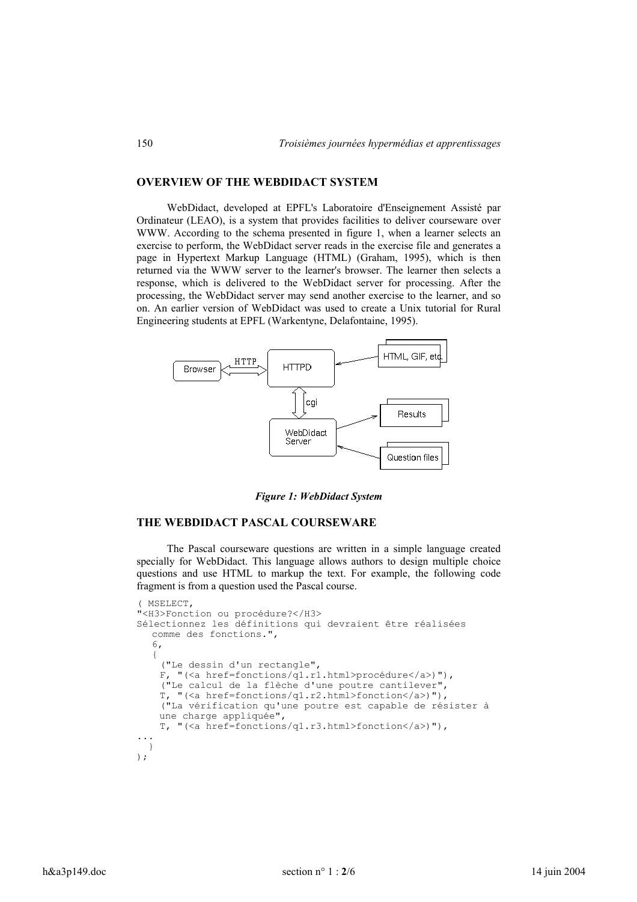# **OVERVIEW OF THE WEBDIDACT SYSTEM**

WebDidact, developed at EPFL's Laboratoire d'Enseignement Assisté par Ordinateur (LEAO), is a system that provides facilities to deliver courseware over WWW. According to the schema presented in figure 1, when a learner selects an exercise to perform, the WebDidact server reads in the exercise file and generates a page in Hypertext Markup Language (HTML) (Graham, 1995), which is then returned via the WWW server to the learner's browser. The learner then selects a response, which is delivered to the WebDidact server for processing. After the processing, the WebDidact server may send another exercise to the learner, and so on. An earlier version of WebDidact was used to create a Unix tutorial for Rural Engineering students at EPFL (Warkentyne, Delafontaine, 1995).



*Figure 1: WebDidact System*

#### **THE WEBDIDACT PASCAL COURSEWARE**

The Pascal courseware questions are written in a simple language created specially for WebDidact. This language allows authors to design multiple choice questions and use HTML to markup the text. For example, the following code fragment is from a question used the Pascal course.

```
( MSELECT,
"<H3>Fonction ou procédure?</H3>
Sélectionnez les définitions qui devraient être réalisées
  comme des fonctions.",
   6,
   {
     ("Le dessin d'un rectangle",
     F, "(<a href=fonctions/q1.r1.html>procédure</a>)"),
     ("Le calcul de la flèche d'une poutre cantilever",
     T, "(<a href=fonctions/q1.r2.html>fonction</a>)"),
     ("La vérification qu'une poutre est capable de résister à
    une charge appliquée",
     T, "(<a href=fonctions/q1.r3.html>fonction</a>)"),
...
  }
);
```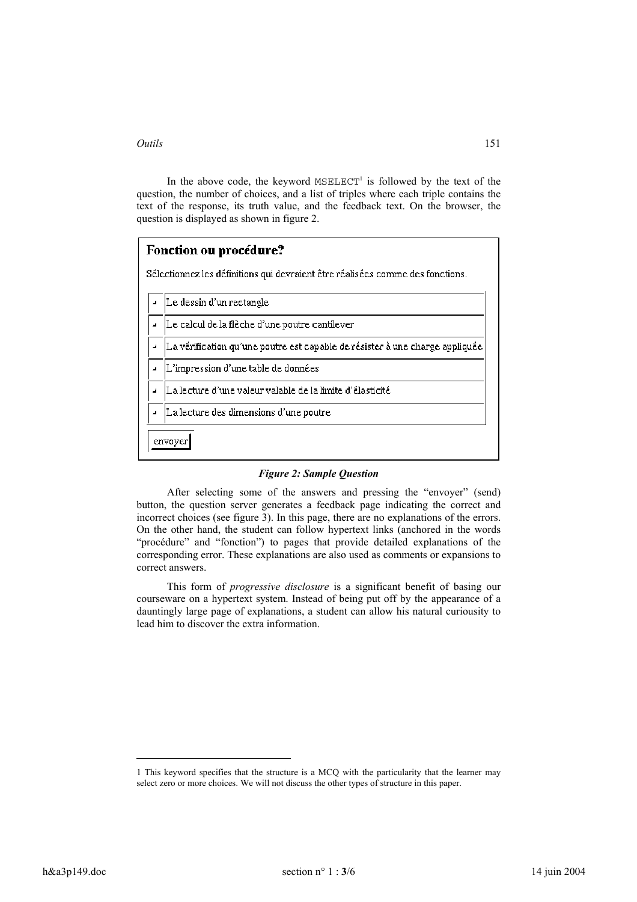l

In the above code, the keyword  $MSELECT^1$  is followed by the text of the question, the number of choices, and a list of triples where each triple contains the text of the response, its truth value, and the feedback text. On the browser, the question is displayed as shown in figure 2.

| Fonction ou procédure?                                                         |  |  |  |
|--------------------------------------------------------------------------------|--|--|--|
| Sélectionnez les définitions qui devraient être réalisées comme des fonctions. |  |  |  |
| Le dessin d'un rectangle                                                       |  |  |  |
| Le calcul de la flèche d'une poutre cantilever                                 |  |  |  |
| La vérification qu'une poutre est capable de résister à une charge appliquée   |  |  |  |
| L'impression d'une table de données                                            |  |  |  |
| La lecture d'une valeur valable de la limite d'élasticité                      |  |  |  |
| La lecture des dimensions d'une poutre                                         |  |  |  |
| envoyer                                                                        |  |  |  |

#### *Figure 2: Sample Question*

After selecting some of the answers and pressing the "envoyer" (send) button, the question server generates a feedback page indicating the correct and incorrect choices (see figure 3). In this page, there are no explanations of the errors. On the other hand, the student can follow hypertext links (anchored in the words "procédure" and "fonction") to pages that provide detailed explanations of the corresponding error. These explanations are also used as comments or expansions to correct answers.

This form of *progressive disclosure* is a significant benefit of basing our courseware on a hypertext system. Instead of being put off by the appearance of a dauntingly large page of explanations, a student can allow his natural curiousity to lead him to discover the extra information.

<sup>1</sup> This keyword specifies that the structure is a MCQ with the particularity that the learner may select zero or more choices. We will not discuss the other types of structure in this paper.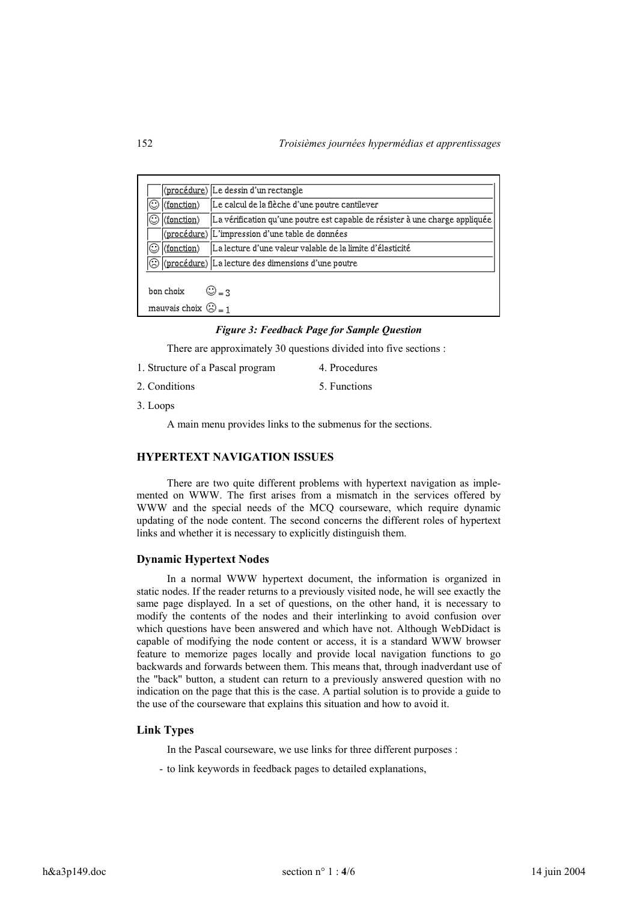|                             |                              | (procédure) Le dessin d'un rectangle                                         |  |  |
|-----------------------------|------------------------------|------------------------------------------------------------------------------|--|--|
|                             | (fonction)                   | Le calcul de la flèche d'une poutre cantilever                               |  |  |
|                             | (fonction)                   | La vérification qu'une poutre est capable de résister à une charge appliquée |  |  |
|                             |                              | (procédure) L'impression d'une table de données                              |  |  |
|                             | (fonction)                   | La lecture d'une valeur valable de la limite d'élasticité                    |  |  |
|                             |                              | $ \textcircled{C} $ (procédure) La lecture des dimensions d'une poutre       |  |  |
|                             |                              |                                                                              |  |  |
| bon choix<br>$\bigcirc$ = 3 |                              |                                                                              |  |  |
|                             | mauvais choix $\bigodot = 1$ |                                                                              |  |  |

## *Figure 3: Feedback Page for Sample Question*

There are approximately 30 questions divided into five sections :

- 1. Structure of a Pascal program 4. Procedures
- 2. Conditions 5. Functions
- 3. Loops

A main menu provides links to the submenus for the sections.

## **HYPERTEXT NAVIGATION ISSUES**

There are two quite different problems with hypertext navigation as implemented on WWW. The first arises from a mismatch in the services offered by WWW and the special needs of the MCQ courseware, which require dynamic updating of the node content. The second concerns the different roles of hypertext links and whether it is necessary to explicitly distinguish them.

#### **Dynamic Hypertext Nodes**

In a normal WWW hypertext document, the information is organized in static nodes. If the reader returns to a previously visited node, he will see exactly the same page displayed. In a set of questions, on the other hand, it is necessary to modify the contents of the nodes and their interlinking to avoid confusion over which questions have been answered and which have not. Although WebDidact is capable of modifying the node content or access, it is a standard WWW browser feature to memorize pages locally and provide local navigation functions to go backwards and forwards between them. This means that, through inadverdant use of the "back'' button, a student can return to a previously answered question with no indication on the page that this is the case. A partial solution is to provide a guide to the use of the courseware that explains this situation and how to avoid it.

#### **Link Types**

In the Pascal courseware, we use links for three different purposes :

- to link keywords in feedback pages to detailed explanations,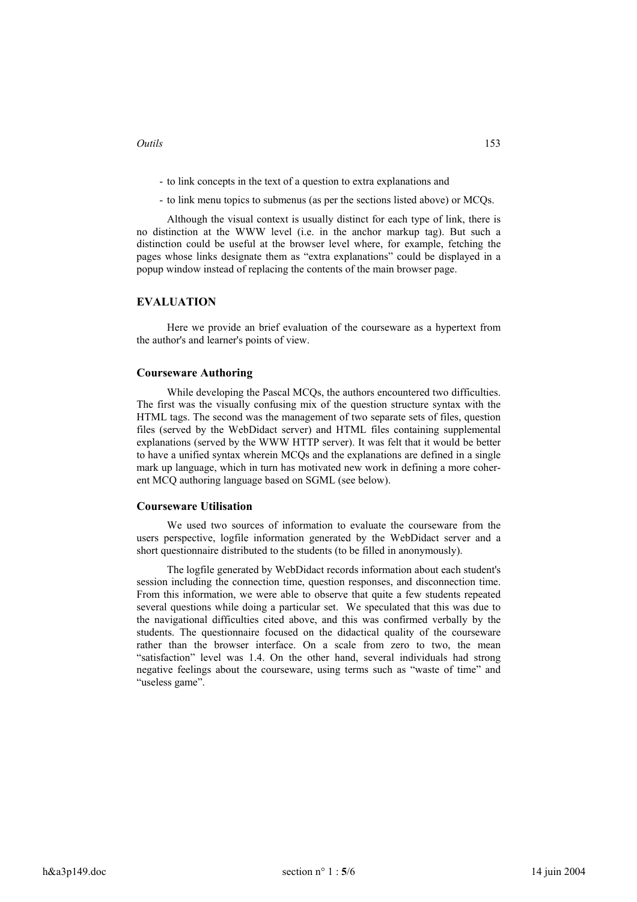- to link concepts in the text of a question to extra explanations and
- to link menu topics to submenus (as per the sections listed above) or MCQs.

Although the visual context is usually distinct for each type of link, there is no distinction at the WWW level (i.e. in the anchor markup tag). But such a distinction could be useful at the browser level where, for example, fetching the pages whose links designate them as "extra explanations" could be displayed in a popup window instead of replacing the contents of the main browser page.

## **EVALUATION**

Here we provide an brief evaluation of the courseware as a hypertext from the author's and learner's points of view.

#### **Courseware Authoring**

While developing the Pascal MCQs, the authors encountered two difficulties. The first was the visually confusing mix of the question structure syntax with the HTML tags. The second was the management of two separate sets of files, question files (served by the WebDidact server) and HTML files containing supplemental explanations (served by the WWW HTTP server). It was felt that it would be better to have a unified syntax wherein MCQs and the explanations are defined in a single mark up language, which in turn has motivated new work in defining a more coherent MCQ authoring language based on SGML (see below).

#### **Courseware Utilisation**

We used two sources of information to evaluate the courseware from the users perspective, logfile information generated by the WebDidact server and a short questionnaire distributed to the students (to be filled in anonymously).

The logfile generated by WebDidact records information about each student's session including the connection time, question responses, and disconnection time. From this information, we were able to observe that quite a few students repeated several questions while doing a particular set. We speculated that this was due to the navigational difficulties cited above, and this was confirmed verbally by the students. The questionnaire focused on the didactical quality of the courseware rather than the browser interface. On a scale from zero to two, the mean "satisfaction" level was 1.4. On the other hand, several individuals had strong negative feelings about the courseware, using terms such as "waste of time" and "useless game".